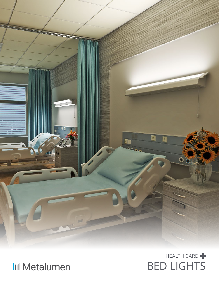



BED LIGHTS HEALTH CARE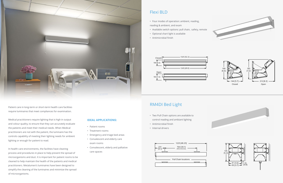

Patient care in long-term or short-term health care facilities require luminaires that meet compliances for examination.

Medical practitioners require lighting that is high in output and colour quality, to ensure that they can accurately evaluate the patients and meet their medical needs. When Medical practitioners are not with the patient, the luminaire has the controls capability of meeting their lighting needs for ambient lighting or enough for patient to read.

In health care environments, the facilities have cleaning process and procedures in place to help prevent the spread of microorganisms and dust. It is important for patient rooms to be cleaned to help maintain the health of the patients and medical practitioners. Metalumen's luminaires have been designed to simplify the cleaning of the luminaires and minimize the spread of microorganisms.

## **IDEAL APPLICATIONS:**

- Patient rooms
- Treatment rooms
- Emergency and triage bed areas
- Convalescent and elderly care exam rooms
- Convalescent, elderly and palliative care spaces

## Flexi BLD

## RM4DI Bed Light

- Two Pull Chain options are available to control reading and ambiant lighting
- Antimicrobial finish
- Internal drivers

![](_page_1_Figure_24.jpeg)

![](_page_1_Figure_25.jpeg)

![](_page_1_Figure_15.jpeg)

![](_page_1_Figure_20.jpeg)

![](_page_1_Figure_21.jpeg)

![](_page_1_Figure_22.jpeg)

![](_page_1_Picture_23.jpeg)

- Four modes of operation: ambient, reading, reading & ambient, and exam
- Available switch options: pull chain, safety, remote
- Optional chart light is available
- Antimicrobial finish